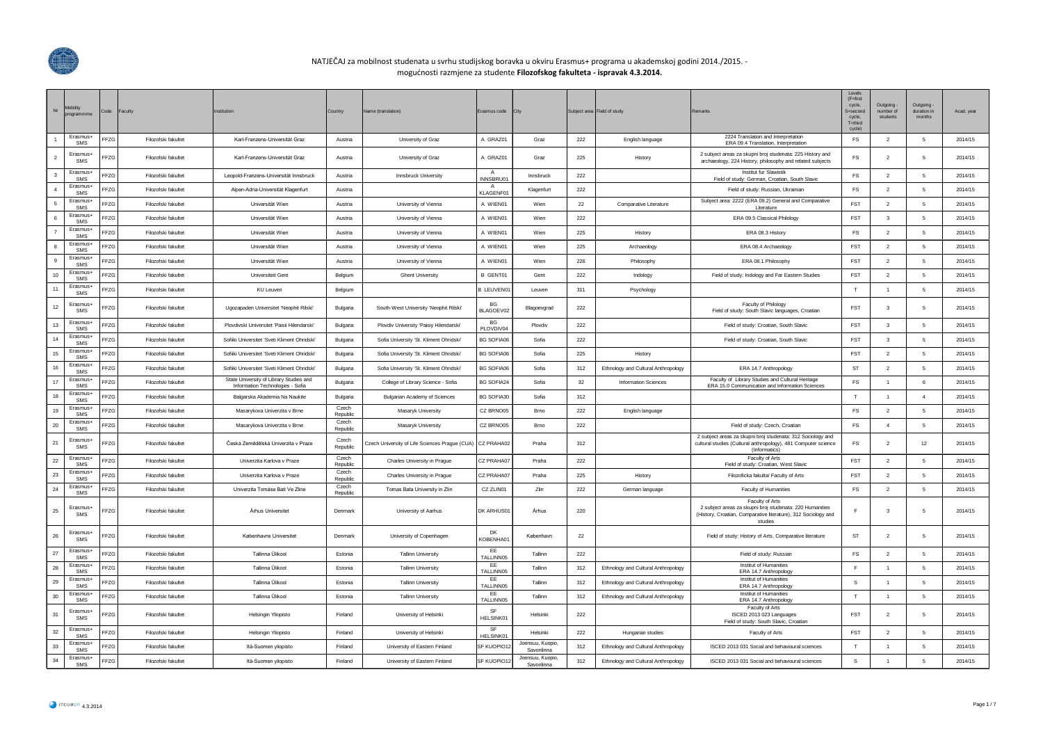

## NATJEČAJ za mobilnost studenata u svrhu studijskog boravka u okviru Erasmus+ programa u akademskoj godini 2014./2015. mogućnosti razmjene za studente **Filozofskog fakulteta - ispravak 4.3.2014.**

| Nr | Mobility<br>programmme | Code            | <b>Faculty</b>      | stitution                                                                   | Country           | Name (translation)                             | Erasmus code           | City                           |     | Subject area Field of study         | Remarks                                                                                                                                                  | Levels<br>$(F = first)$<br>cycle,<br>S=second<br>cycle,<br>$T =$ third<br>cycle) | Outgoing<br>number of<br>students | Outgoing<br>duration in<br>months | Acad. year |
|----|------------------------|-----------------|---------------------|-----------------------------------------------------------------------------|-------------------|------------------------------------------------|------------------------|--------------------------------|-----|-------------------------------------|----------------------------------------------------------------------------------------------------------------------------------------------------------|----------------------------------------------------------------------------------|-----------------------------------|-----------------------------------|------------|
|    | Erasmus-<br>SMS        | FFZG            | Filozofski fakultet | Karl-Franzens-Universität Graz                                              | Austria           | University of Graz                             | A GRAZ01               | Graz                           | 222 | English language                    | 2224 Translation and Interpretation<br>ERA 09.4 Translation, Interpretation                                                                              | <b>FS</b>                                                                        | $\overline{2}$                    | -5                                | 2014/15    |
|    | Erasmus+<br>SMS        | FFZG            | Filozofski fakultet | Karl-Franzens-Universität Graz                                              | Austria           | University of Graz                             | A GRAZ01               | Graz                           | 225 | History                             | 2 subject areas za skupni broj studenata: 225 History and<br>archaeology, 224 History, philosophy and related subjects                                   | FS                                                                               | $\overline{2}$                    | 5                                 | 2014/15    |
| -3 | Erasmus-<br>SMS        | FFZG            | Filozofski fakultet | Leopold-Franzens-Universität Innsbruck                                      | Austria           | Innsbruck University                           | A<br>INNSBRU01         | Innsbruck                      | 222 |                                     | <b>Institut fur Slawistik</b><br>Field of study: German, Croatian, South Slavic                                                                          | FS                                                                               | $\overline{2}$                    | 5                                 | 2014/15    |
|    | Erasmus+<br>SMS        | FFZG            | Filozofski fakultet | Alpen-Adria-Universität Klagenfurt                                          | Austria           |                                                | A<br>KLAGENF01         | Klagenfurt                     | 222 |                                     | Field of study: Russian, Ukrainian                                                                                                                       | <b>FS</b>                                                                        | $\overline{2}$                    | -5                                | 2014/15    |
|    | Erasmus-<br>SMS        | FFZG            | Filozofski fakultet | Universität Wien                                                            | Austria           | University of Vienna                           | A WIEN01               | Wien                           | 22  | Comparative Literature              | Subject area: 2222 (ERA 09.2) General and Comparative<br>Literature                                                                                      | FST                                                                              | $\overline{2}$                    | 5                                 | 2014/15    |
|    | Erasmus-<br>SMS        | FFZG            | Filozofski fakultet | Universität Wien                                                            | Austria           | University of Vienna                           | A WIEN01               | Wien                           | 222 |                                     | ERA 09.5 Classical Philology                                                                                                                             | FST                                                                              | $\overline{\mathbf{3}}$           | 5                                 | 2014/15    |
|    | Erasmus+<br>SMS        | FFZG            | Filozofski fakultet | Universität Wien                                                            | Austria           | University of Vienna                           | A WIFN01               | Wien                           | 225 | History                             | ERA 08.3 History                                                                                                                                         | FS                                                                               | $\overline{2}$                    | -5                                | 2014/15    |
|    | Erasmus-<br>SMS        | FFZG            | Filozofski fakultet | Universität Wien                                                            | Austria           | University of Vienna                           | A WIEN01               | Wien                           | 225 | Archaeology                         | ERA 08.4 Archaeology                                                                                                                                     | <b>FST</b>                                                                       | $\overline{2}$                    | 5                                 | 2014/15    |
|    | Frasmus-<br>SMS        | FFZG            | Filozofski fakultet | Universität Wien                                                            | Austria           | University of Vienna                           | A WIEN01               | Wien                           | 226 | Philosophy                          | ERA 08.1 Philosophy                                                                                                                                      | <b>FST</b>                                                                       | $\overline{2}$                    | 5                                 | 2014/15    |
| 10 | Erasmus-<br>SMS        | F <sub>ZG</sub> | Filozofski fakultet | <b>Universiteit Gent</b>                                                    | Belgium           | <b>Ghent University</b>                        | <b>B GENT01</b>        | Gent                           | 222 | Indology                            | Field of study: Indology and Far Eastern Studies                                                                                                         | <b>FST</b>                                                                       | $\overline{2}$                    | 5                                 | 2014/15    |
|    | Erasmus+<br>SMS        | FFZG            | Filozofski fakultet | <b>KU Leuven</b>                                                            | Belgium           |                                                | <b>BLEUVEN01</b>       | Leuven                         | 311 | Psychology                          |                                                                                                                                                          | T                                                                                | $\overline{1}$                    | 5                                 | 2014/15    |
| 12 | Erasmus-<br>SMS        | FFZG            | Filozofski fakultet | Ugozapaden Universitet 'Neophit Rilski'                                     | Bulgaria          | South-West University 'Neophit Rilski          | <b>BG</b><br>BLAGOEV02 | Blagoevgrad                    | 222 |                                     | Faculty of Philology<br>Field of study: South Slavic languages, Croatian                                                                                 | <b>FST</b>                                                                       | $\overline{\mathbf{3}}$           | 5                                 | 2014/15    |
| 13 | Erasmus-<br>SMS        | FFZG            | Filozofski fakultet | Plovdivski Universitet 'Paisii Hilendarski'                                 | Bulgaria          | Plovdiv University 'Paisiv Hilendarski'        | BG<br>PLOVDIV04        | Plovdiv                        | 222 |                                     | Field of study: Croatian, South Slavic                                                                                                                   | <b>FST</b>                                                                       | 3                                 | -5                                | 2014/15    |
| 14 | Erasmus-<br>SMS        | FFZG            | Filozofski fakultet | Sofiiki Universitet 'Sveti Kliment Ohridski'                                | Bulgaria          | Sofia University 'St. Kliment Ohridski'        | <b>BG SOFIA06</b>      | Sofia                          | 222 |                                     | Field of study: Croatian, South Slavic                                                                                                                   | <b>FST</b>                                                                       | $\mathbf{3}$                      | 5                                 | 2014/15    |
| 15 | Erasmus-<br>SMS        | F <sub>ZG</sub> | Filozofski fakultet | Sofiiki Universitet 'Sveti Kliment Ohridski'                                | Bulgaria          | Sofia University 'St. Kliment Ohridski'        | BG SOFIA06             | Sofia                          | 225 | History                             |                                                                                                                                                          | <b>FST</b>                                                                       | $\overline{2}$                    | 5                                 | 2014/15    |
| 16 | Erasmus-<br>SMS        | F <sub>ZG</sub> | Filozofski fakultet | Sofiiki Universitet 'Sveti Kliment Ohridski'                                | Bulgaria          | Sofia University 'St. Kliment Ohridski'        | <b>BG SOFIA06</b>      | Sofia                          | 312 | Ethnology and Cultural Anthropology | ERA 14.7 Anthropology                                                                                                                                    | <b>ST</b>                                                                        | $\overline{2}$                    | -5                                | 2014/15    |
|    | Erasmus-<br>SMS        | FFZG            | Filozofski fakultet | State University of Library Studies and<br>Information Technologies - Sofia | Bulgaria          | College of Library Science - Sofia             | <b>BG SOFIA24</b>      | Sofia                          | 32  | <b>Information Sciences</b>         | Faculty of Library Studies and Cultural Heritage<br>ERA 15.0 Communication and Information Sciences                                                      | FS                                                                               | $\overline{1}$                    | 6                                 | 2014/15    |
|    | Erasmus-<br>SMS        | FFZG            | Filozofski fakultet | Balgarska Akademia Na Naukite                                               | Bulgaria          | <b>Bulgarian Academy of Sciences</b>           | <b>BG SOFIA30</b>      | Sofia                          | 312 |                                     |                                                                                                                                                          | T                                                                                | $\overline{1}$                    | $\Delta$                          | 2014/15    |
| 19 | Erasmus+<br>SMS        | F <sub>ZG</sub> | Filozofski fakultet | Masarykova Univerzita v Brne                                                | Czech<br>Republic | Masaryk University                             | CZ BRNO05              | <b>Brno</b>                    | 222 | English language                    |                                                                                                                                                          | $\mathop{\textsf{FS}}$                                                           | $\overline{2}$                    | -5                                | 2014/15    |
| 20 | Frasmus-<br>SMS        | FFZG            | Filozofski fakultet | Masarykova Univerzita v Brne                                                | Czech<br>Republic | Masaryk University                             | CZ BRNO05              | Brno                           | 222 |                                     | Field of study: Czech, Croatian                                                                                                                          | FS                                                                               | $\overline{4}$                    | 5                                 | 2014/15    |
| 21 | Erasmus-<br>SMS        | FFZG            | Filozofski fakultet | Česká Zemědělská Univerzita v Praze                                         | Czech<br>Republic | Czech University of Life Sciences Prague (CUA) | CZ PRAHA02             | Praha                          | 312 |                                     | 2 subject areas za skupni broj studenata: 312 Sociology and<br>cultural studies (Cultural anthropology), 481 Computer science<br>(Informatics)           | FS                                                                               | $\overline{2}$                    | 12                                | 2014/15    |
| 22 | Erasmus+<br>SMS        | F <sub>ZG</sub> | Filozofski fakultet | Univerzita Karlova v Praze                                                  | Czech<br>Republic | Charles University in Prague                   | CZ PRAHA07             | Praha                          | 222 |                                     | Faculty of Arts<br>Field of study: Croatian, West Slavic                                                                                                 | <b>FST</b>                                                                       | $\overline{2}$                    | 5                                 | 2014/15    |
| 23 | Erasmus+<br>SMS        | FZG             | Filozofski fakultet | Univerzita Karlova v Praze                                                  | Czech<br>Republic | Charles University in Prague                   | CZ PRAHA07             | Praha                          | 225 | History                             | Filozoficka fakulta/ Faculty of Arts                                                                                                                     | <b>FST</b>                                                                       | $\overline{2}$                    | 5                                 | 2014/15    |
| 24 | Erasmus-<br><b>SMS</b> | FFZG            | Filozofski fakultet | Univerzita Tomáse Bati Ve Zline                                             | Czech<br>Republic | Tomas Bata University in Zlín                  | CZ ZLIN01              | Zlin                           | 222 | German language                     | Faculty of Humanities                                                                                                                                    | <b>FS</b>                                                                        | $\overline{2}$                    | -5                                | 2014/15    |
| 25 | Erasmus+<br>SMS        | FFZG            | Filozofski fakultet | <b>Århus Universitet</b>                                                    | Denmark           | University of Aarhus                           | DK ARHUS01             | Århus                          | 220 |                                     | Faculty of Arts<br>2 subject areas za skupni broj studenata: 220 Humanities<br>(History, Croatian, Comparative literature), 312 Sociology and<br>studies |                                                                                  | $\overline{\mathbf{3}}$           | 5                                 | 2014/15    |
| 26 | Erasmus-<br>SMS        | F <sub>ZG</sub> | Filozofski fakultet | Københavns Universitet                                                      | Denmark           | University of Copenhagen                       | <b>DK</b><br>KOBENHA01 | København                      | 22  |                                     | Field of study: History of Arts, Comparative literature                                                                                                  | ST                                                                               | $\overline{2}$                    | 5                                 | 2014/15    |
| 27 | Erasmus-<br>SMS        | FFZG            | Filozofski fakultet | Tallinna Ülikool                                                            | Estonia           | <b>Tallinn University</b>                      | EE<br>TALLINN05        | Tallinn                        | 222 |                                     | Field of study: Russian                                                                                                                                  | $\mathop{\textsf{FS}}$                                                           | $\overline{2}$                    | 5                                 | 2014/15    |
| 28 | Erasmus+<br>SMS        | FFZG            | Filozofski fakultet | Tallinna Ülikool                                                            | Estonia           | <b>Tallinn University</b>                      | EE<br><b>TALLINN05</b> | Tallinn                        | 312 | Ethnology and Cultural Anthropology | Institut of Humanities<br>ERA 14.7 Anthropology                                                                                                          | E                                                                                | $\overline{1}$                    | 5                                 | 2014/15    |
| 29 | Erasmus-<br>SMS        | FFZG            | Filozofski fakultet | Tallinna Ülikool                                                            | Estonia           | <b>Tallinn University</b>                      | EE<br>TALLINN05        | Tallinn                        | 312 | Ethnology and Cultural Anthropology | Institut of Humanities<br>ERA 14.7 Anthropology                                                                                                          | <b>S</b>                                                                         | $\overline{1}$                    | 5                                 | 2014/15    |
| 30 | Erasmus+<br>SMS        | FFZG            | Filozofski fakultet | Tallinna Ülikool                                                            | Estonia           | <b>Tallinn University</b>                      | EE<br>TALLINN05        | Tallinn                        | 312 | Ethnology and Cultural Anthropology | Institut of Humanities<br>ERA 14.7 Anthropology                                                                                                          | T                                                                                | $\overline{1}$                    | 5                                 | 2014/15    |
| 31 | Erasmus+<br>SMS        | FFZG            | Filozofski fakultet | Helsingin Yliopisto                                                         | Finland           | University of Helsinki                         | SF<br>HELSINK01        | Helsinki                       | 222 |                                     | Faculty of Arts<br>ISCED 2013 023 Languages<br>Field of study: South Slavic, Croatian                                                                    | FST                                                                              | $\overline{2}$                    | 5                                 | 2014/15    |
| 32 | Erasmus-<br>SMS        | FFZG            | Filozofski fakultet | <b>Helsingin Yliopisto</b>                                                  | Finland           | University of Helsinki                         | SE<br>HELSINK01        | Helsinki                       | 222 | Hungarian studies                   | Faculty of Arts                                                                                                                                          | <b>FST</b>                                                                       | $\overline{2}$                    | 5                                 | 2014/15    |
| 33 | Erasmus+<br>SMS        | FZG             | Filozofski fakultet | Itä-Suomen yliopisto                                                        | Finland           | University of Eastern Finland                  | SF KUOPIO12            | Joensuu, Kuopio,<br>Savonlinna | 312 | Ethnology and Cultural Anthropology | ISCED 2013 031 Social and behavioural sciences                                                                                                           | T                                                                                | $\overline{1}$                    | 5                                 | 2014/15    |
| 34 | Erasmus-<br>SMS        | FFZG            | Filozofski fakultet | Itä-Suomen yliopisto                                                        | Finland           | University of Eastern Finland                  | SF KUOPIO12            | Joensuu, Kuopio,<br>Savonlinna | 312 | Ethnology and Cultural Anthropology | ISCED 2013 031 Social and behavioural sciences                                                                                                           | s                                                                                | $\overline{1}$                    | 5                                 | 2014/15    |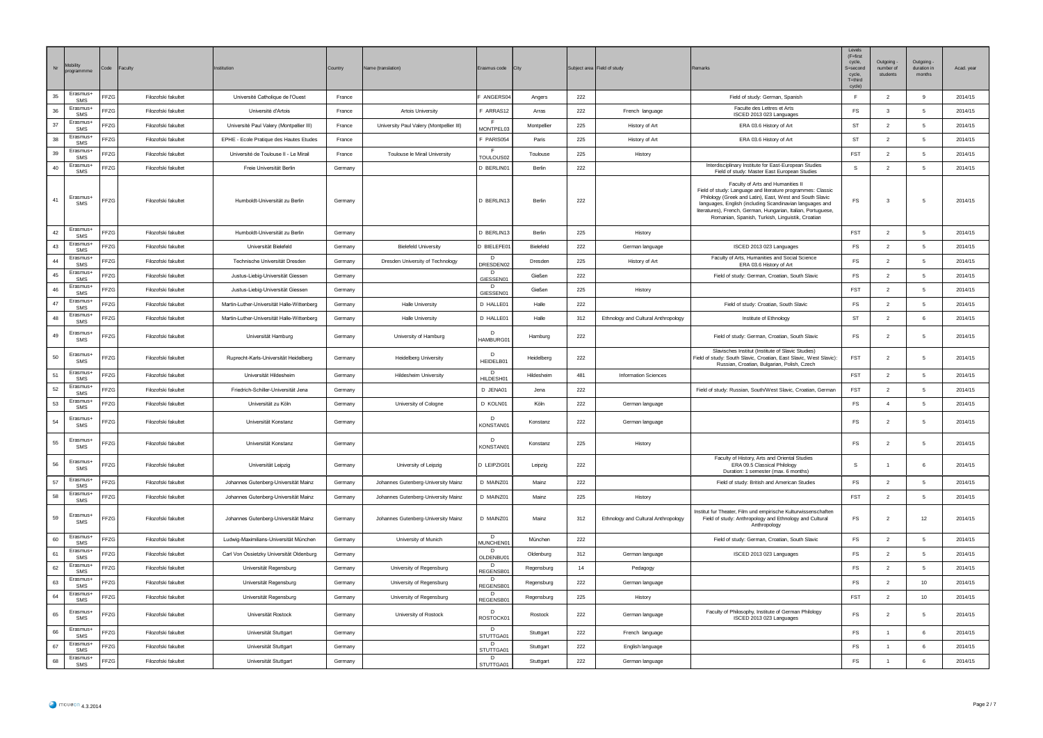| $\mathsf{Nr}$ | Mobility<br>progra     | Code | Faculty             | nstitution                                 | Country | Vame (translation)                       | Erasmus code                            | <b>City</b> |     | Subject area Field of study         |                                                                                                                                                                                                                                                                                                                                               | Levels<br>$(F = first)$<br>cycle,<br>S=second<br>cycle,<br>$T =$ third<br>cycle) | Outgoing<br>number of<br>students | Outgoing -<br>duration in<br>months | Acad. year |
|---------------|------------------------|------|---------------------|--------------------------------------------|---------|------------------------------------------|-----------------------------------------|-------------|-----|-------------------------------------|-----------------------------------------------------------------------------------------------------------------------------------------------------------------------------------------------------------------------------------------------------------------------------------------------------------------------------------------------|----------------------------------------------------------------------------------|-----------------------------------|-------------------------------------|------------|
| 35            | Erasmus+<br>SMS        | FFZG | Filozofski fakultet | Université Catholique de l'Ouest           | France  |                                          | ANGERS04                                | Angers      | 222 |                                     | Field of study: German, Spanish                                                                                                                                                                                                                                                                                                               | $\mathbb F$                                                                      | $\overline{2}$                    | 9                                   | 2014/15    |
| 36            | Erasmus+<br>SMS        | FFZG | Filozofski fakultet | Université d'Artois                        | France  | Artois University                        | F ARRAS12                               | Arras       | 222 | French language                     | Faculte des Lettres et Arts<br>ISCED 2013 023 Languages                                                                                                                                                                                                                                                                                       | $\mathsf{FS}$                                                                    | $\overline{\mathbf{3}}$           | 5                                   | 2014/15    |
| 37            | Erasmus+<br>SMS        | FFZG | Filozofski fakultet | Université Paul Valery (Montpellier III)   | France  | University Paul Valery (Montpellier III) | MONTPEL03                               | Montpellier | 225 | History of Art                      | ERA 03.6 History of Art                                                                                                                                                                                                                                                                                                                       | <b>ST</b>                                                                        | $\overline{2}$                    | 5                                   | 2014/15    |
| 38            | Erasmus+<br>SMS        | FFZG | Filozofski fakultet | EPHE - Ecole Pratique des Hautes Etudes    | France  |                                          | F PARIS054                              | Paris       | 225 | History of Art                      | ERA 03.6 History of Art                                                                                                                                                                                                                                                                                                                       | <b>ST</b>                                                                        | $\overline{2}$                    | -5                                  | 2014/15    |
| 39            | <b>Erasmus-</b><br>SMS | FFZG | Filozofski fakultet | Université de Toulouse II - Le Mirail      | France  | Toulouse le Mirail University            | - F<br>TOULOUS02                        | Toulouse    | 225 | History                             |                                                                                                                                                                                                                                                                                                                                               | FST                                                                              | $\overline{2}$                    | -5                                  | 2014/15    |
| 40            | Erasmus+<br>SMS        | FFZG | Filozofski fakultet | Freie Universität Berlin                   | Germany |                                          | D BERLIN01                              | Berlin      | 222 |                                     | Interdisciplinary Institute for East-European Studies<br>Field of study: Master East European Studies                                                                                                                                                                                                                                         | s                                                                                | $\overline{2}$                    | 5                                   | 2014/15    |
| 41            | Erasmus+<br>SMS        | FFZG | Filozofski fakultet | Humboldt-Universität zu Berlin             | Germany |                                          | D BERLIN13                              | Berlin      | 222 |                                     | Faculty of Arts and Humanities II<br>Field of study: Language and literature programmes: Classic<br>Philology (Greek and Latin), East, West and South Slavic<br>languages, English (including Scandinavian languages and<br>literatures), French, German, Hungarian, Italian, Portuguese,<br>Romanian, Spanish, Turkish, Linguistik, Croatian | FS                                                                               | 3                                 | 5                                   | 2014/15    |
| 42            | Erasmus+<br>SMS        | FFZG | Filozofski fakultet | Humboldt-Universität zu Berlin             | Germany |                                          | D BERLIN13                              | Berlin      | 225 | History                             |                                                                                                                                                                                                                                                                                                                                               | <b>FST</b>                                                                       | $\overline{2}$                    | 5                                   | 2014/15    |
| 43            | Erasmus+<br>SMS        | FFZG | Filozofski fakultet | Universität Bielefeld                      | Germany | <b>Bielefeld University</b>              | D BIELEFE0                              | Bielefeld   | 222 | German language                     | ISCED 2013 023 Languages                                                                                                                                                                                                                                                                                                                      | $\mathop{\textsf{FS}}$                                                           | $\overline{2}$                    | 5                                   | 2014/15    |
| 44            | Erasmus+<br>SMS        | FFZG | Filozofski fakultet | Technische Universität Dresden             | Germany | Dresden University of Technology         | D<br>DRESDEN02                          | Dresden     | 225 | History of Art                      | Faculty of Arts, Humanities and Social Science<br>ERA 03.6 History of Art                                                                                                                                                                                                                                                                     | FS                                                                               | $\overline{2}$                    | 5                                   | 2014/15    |
| 45            | Erasmus+<br>SMS        | FFZG | Filozofski fakultet | Justus-Liebig-Universität Giessen          | Germany |                                          | $\overline{D}$<br>GIESSEN01             | Gießen      | 222 |                                     | Field of study: German, Croatian, South Slavic                                                                                                                                                                                                                                                                                                | <b>FS</b>                                                                        | $\overline{2}$                    | 5                                   | 2014/15    |
| 46            | Erasmus+<br>SMS        | FF7C | Filozofski fakultet | Justus-Liebig-Universität Giessen          | Germany |                                          | D<br>GIESSEN01                          | Gießen      | 225 | History                             |                                                                                                                                                                                                                                                                                                                                               | <b>FST</b>                                                                       | $\overline{2}$                    | -5                                  | 2014/15    |
| 47            | Erasmus+<br>SMS        | FFZG | Filozofski fakultet | Martin-Luther-Universität Halle-Wittenberg | Germany | <b>Halle University</b>                  | D HALLE01                               | Halle       | 222 |                                     | Field of study: Croatian, South Slavic                                                                                                                                                                                                                                                                                                        | FS                                                                               | $\overline{2}$                    | 5                                   | 2014/15    |
| 48            | Erasmus+<br>SMS        | FFZG | Filozofski fakultet | Martin-Luther-Universität Halle-Wittenberg | Germany | <b>Halle University</b>                  | D HALLE01                               | Halle       | 312 | Ethnology and Cultural Anthropology | Institute of Ethnology                                                                                                                                                                                                                                                                                                                        | ST                                                                               | $\overline{2}$                    | 6                                   | 2014/15    |
| 49            | Erasmus+<br>SMS        | FFZG | Filozofski fakultet | Universität Hamburg                        | Germany | University of Hamburg                    | D<br>HAMBURG01                          | Hamburg     | 222 |                                     | Field of study: German, Croatian, South Slavic                                                                                                                                                                                                                                                                                                | FS.                                                                              | $\overline{2}$                    | 5                                   | 2014/15    |
| 50            | Erasmus+<br>SMS        | FFZG | Filozofski fakultet | Ruprecht-Karls-Universität Heidelberg      | Germany | <b>Heidelberg University</b>             | D<br>HEIDELB01                          | Heidelberg  | 222 |                                     | Slavisches Institut (Institute of Slavic Studies)<br>Field of study: South Slavic, Croatian, East Slavic, West Slavic):<br>Russian, Croatian, Bulgarian, Polish, Czech                                                                                                                                                                        | FST                                                                              | $\overline{2}$                    | 5                                   | 2014/15    |
| 51            | Erasmus+<br>SMS        | FFZG | Filozofski fakultet | Universität Hildesheim                     | Germany | <b>Hildesheim University</b>             | HILDESH01                               | Hildesheim  | 481 | Information Sciences                |                                                                                                                                                                                                                                                                                                                                               | <b>FST</b>                                                                       | $\overline{2}$                    | 5                                   | 2014/15    |
| 52            | Erasmus+<br>SMS        | FFZG | Filozofski fakultet | Friedrich-Schiller-Universität Jena        | Germany |                                          | D JENA01                                | Jena        | 222 |                                     | Field of study: Russian, South/West Slavic, Croatian, German                                                                                                                                                                                                                                                                                  | <b>FST</b>                                                                       | $\overline{2}$                    | 5                                   | 2014/15    |
| 53            | Erasmus+<br>SMS        | FFZG | Filozofski fakultet | Universität zu Köln                        | Germany | University of Cologne                    | D KOLN01                                | Köln        | 222 | German language                     |                                                                                                                                                                                                                                                                                                                                               | $\mathop{\textsf{FS}}$                                                           | $\overline{4}$                    | 5                                   | 2014/15    |
| 54            | Erasmus+<br>SMS        | FFZG | Filozofski fakultet | Universität Konstanz                       | Germany |                                          | D<br>KONSTAN01                          | Konstanz    | 222 | German language                     |                                                                                                                                                                                                                                                                                                                                               | $\mathsf{FS}$                                                                    | $\overline{2}$                    | 5                                   | 2014/15    |
| 55            | Erasmus+<br>SMS        | FFZG | Filozofski fakultet | Universität Konstanz                       | Germany |                                          | $\overline{D}$<br>KONSTAN01             | Konstanz    | 225 | History                             |                                                                                                                                                                                                                                                                                                                                               | FS.                                                                              | $\overline{2}$                    | -5                                  | 2014/15    |
| 56            | Erasmus+<br>SMS        | FFZG | Filozofski fakultet | Universität Leipzig                        | Germany | University of Leipzig                    | D LEIPZIG01                             | Leipzig     | 222 |                                     | Faculty of History, Arts and Oriental Studies<br>ERA 09.5 Classical Philology<br>Duration: 1 semester (max. 6 months)                                                                                                                                                                                                                         | -S                                                                               |                                   | -6                                  | 2014/15    |
| 57            | Erasmus+<br><b>SMS</b> | FFZG | Filozofski fakultet | Johannes Gutenberg-Universität Mainz       | Germany | Johannes Gutenberg-University Mainz      | D MAINZ01                               | Mainz       | 222 |                                     | Field of study: British and American Studies                                                                                                                                                                                                                                                                                                  | FS                                                                               | $\overline{2}$                    | 5                                   | 2014/15    |
| 58            | Erasmus+<br>SMS        | FFZG | Filozofski fakultet | Johannes Gutenberg-Universität Mainz       | Germany | Johannes Gutenberg-University Mainz      | D MAINZ01                               | Mainz       | 225 | History                             |                                                                                                                                                                                                                                                                                                                                               | <b>FST</b>                                                                       | $\overline{2}$                    | 5                                   | 2014/15    |
| 59            | Erasmus+<br>SMS        | FFZG | Filozofski fakultet | Johannes Gutenberg-Universität Mainz       | Germany | Johannes Gutenberg-University Mainz      | D MAINZ01                               | Mainz       | 312 | Ethnology and Cultural Anthropology | nstitut fur Theater, Film und empirische Kulturwissenschaften<br>Field of study: Anthropology and Ethnology and Cultural<br>Anthropology                                                                                                                                                                                                      | FS                                                                               | $\overline{2}$                    | 12                                  | 2014/15    |
| 60            | Erasmus+<br>SMS        | FFZG | Filozofski fakultet | Ludwig-Maximilians-Universität München     | Germany | University of Munich                     | $\sqrt{2}$<br>MUNCHEN01                 | München     | 222 |                                     | Field of study: German, Croatian, South Slavic                                                                                                                                                                                                                                                                                                | FS                                                                               | $\overline{2}$                    | 5                                   | 2014/15    |
| 61            | Erasmus+<br>SMS        | FFZG | Filozofski fakultet | Carl Von Ossietzky Universität Oldenburg   | Germany |                                          | <b>D</b><br>OLDENBU01                   | Oldenburg   | 312 | German language                     | ISCED 2013 023 Languages                                                                                                                                                                                                                                                                                                                      | <b>FS</b>                                                                        | $\overline{2}$                    | 5                                   | 2014/15    |
| 62            | Erasmus+<br>SMS        | FFZG | Filozofski fakultet | Universität Regensburg                     | Germany | University of Regensburg                 | $\overline{D}$<br>REGENSB0 <sup>®</sup> | Regensburg  | 14  | Pedagogy                            |                                                                                                                                                                                                                                                                                                                                               | FS.                                                                              | $\overline{2}$                    | 5                                   | 2014/15    |
| 63            | Erasmus+<br>SMS        | FFZG | Filozofski fakultet | Universität Regensburg                     | Germany | University of Regensburg                 | D.<br>REGENSB01                         | Regensburg  | 222 | German language                     |                                                                                                                                                                                                                                                                                                                                               | $\mathop{\textsf{FS}}$                                                           | $\overline{2}$                    | $10$                                | 2014/15    |
| 64            | Erasmus+<br>SMS        | FFZG | Filozofski fakultet | Universität Regensburg                     | Germany | University of Regensburg                 | D<br>REGENSB01                          | Regensburg  | 225 | History                             |                                                                                                                                                                                                                                                                                                                                               | <b>FST</b>                                                                       | $\overline{2}$                    | 10                                  | 2014/15    |
| 65            | <b>Erasmus-</b><br>SMS | FFZG | Filozofski fakultet | Universität Rostock                        | Germany | University of Rostock                    | $\overline{D}$<br>ROSTOCK01             | Rostock     | 222 | German language                     | Faculty of Philosophy, Institute of German Philology<br>ISCED 2013 023 Languages                                                                                                                                                                                                                                                              | FS                                                                               | $\overline{2}$                    | -5                                  | 2014/15    |
| 66            | Erasmus+<br><b>SMS</b> | FFZG | Filozofski fakultet | Universität Stuttgart                      | Germany |                                          | D<br>STUTTGA01                          | Stuttgart   | 222 | French language                     |                                                                                                                                                                                                                                                                                                                                               | FS                                                                               | $\overline{1}$                    | 6                                   | 2014/15    |
| 67            | Erasmus+<br>SMS        | FFZG | Filozofski fakultet | Universität Stuttgart                      | Germany |                                          | D<br>STUTTGA0                           | Stuttgart   | 222 | English language                    |                                                                                                                                                                                                                                                                                                                                               | $\mathop{\textsf{FS}}$                                                           | $\overline{1}$                    | 6                                   | 2014/15    |
| 68            | Erasmus+<br>SMS        | FFZG | Filozofski fakultet | Universität Stuttgart                      | Germany |                                          | D<br>STUTTGA01                          | Stuttgart   | 222 | German language                     |                                                                                                                                                                                                                                                                                                                                               | $\mathop{\textsf{FS}}$                                                           | $\overline{1}$                    | 6                                   | 2014/15    |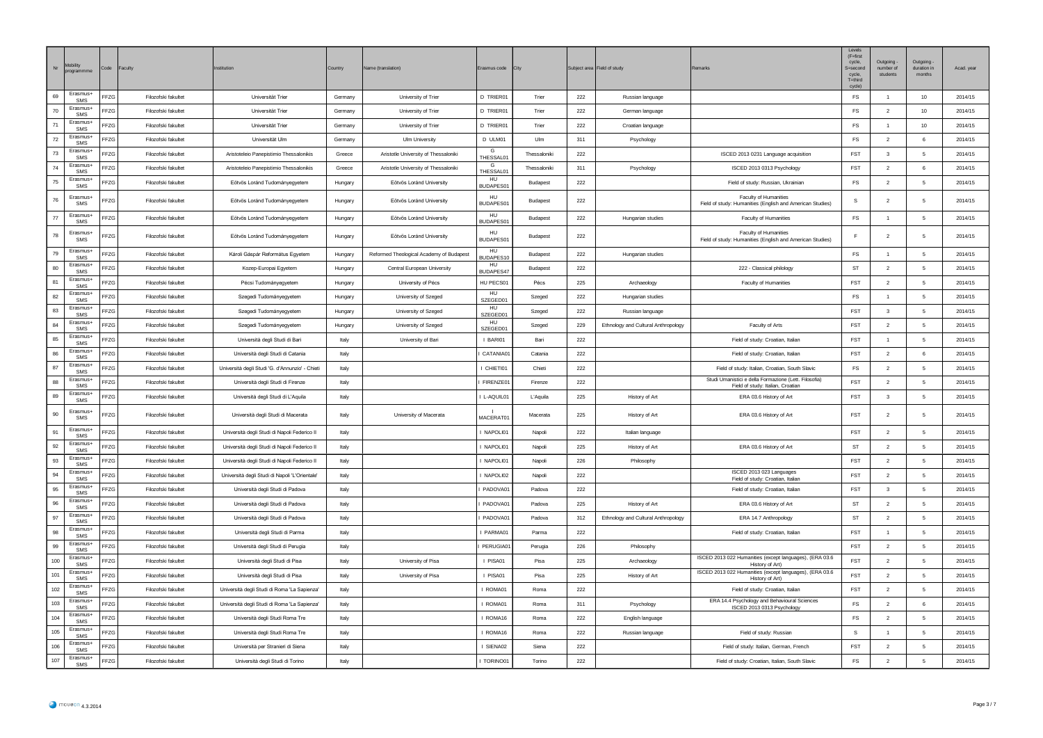| $\mathsf{Nr}^-$ | Mobility<br>program         | Code<br>Faculty |                     | <b>stitution</b>                                | Country | Name (translation)                       | Erasmus code           | <b>City</b>    |     | Subject area Field of study         |                                                                                            | Levels<br>$(F = first)$<br>cycle.<br>S=second<br>cycle,<br>$T = third$<br>cycle) | Outgoing<br>number of<br>students | Outgoing -<br>duration in<br>months | Acad. year |
|-----------------|-----------------------------|-----------------|---------------------|-------------------------------------------------|---------|------------------------------------------|------------------------|----------------|-----|-------------------------------------|--------------------------------------------------------------------------------------------|----------------------------------------------------------------------------------|-----------------------------------|-------------------------------------|------------|
| 69              | Erasmus+<br><b>SMS</b>      | FFZG            | Filozofski fakultet | Universität Trier                               | Germany | University of Trier                      | D TRIER01              | Trier          | 222 | Russian language                    |                                                                                            | FS                                                                               | $\overline{1}$                    | 10                                  | 2014/15    |
| 70              | Erasmus+<br>SMS             | FFZG            | Filozofski fakultet | Universität Trier                               | Germany | University of Trier                      | D TRIER01              | Trier          | 222 | German language                     |                                                                                            | $\mathsf{FS}$                                                                    | $\overline{2}$                    | 10                                  | 2014/15    |
| 71              | Erasmus+<br>SMS             | ${\tt FFZG}$    | Filozofski fakultet | Universität Trier                               | Germany | University of Trier                      | <b>D TRIER01</b>       | Trier          | 222 | Croatian language                   |                                                                                            | FS                                                                               | $\overline{1}$                    | 10                                  | 2014/15    |
| 72              | Erasmus-<br>SMS             | FFZG            | Filozofski fakultet | Universität Ulm                                 | Germany | <b>Ulm University</b>                    | D UI M01               | <b>Um</b>      | 311 | Psychology                          |                                                                                            | FS.                                                                              | $\overline{2}$                    | 6                                   | 2014/15    |
| 73              | Erasmus-<br>SMS             | FFZG            | Filozofski fakultet | Aristoteleio Panepistimio Thessalonikis         | Greece  | Aristotle University of Thessaloniki     | G<br>THESSAL01         | Thessaloniki   | 222 |                                     | ISCED 2013 0231 Language acquisition                                                       | <b>FST</b>                                                                       | 3                                 | -5                                  | 2014/15    |
| 74              | Erasmus+<br>SMS             | FFZG            | Filozofski fakultet | Aristoteleio Panepistimio Thessalonikis         | Greece  | Aristotle University of Thessaloniki     | G<br>THESSAL01         | Thessaloniki   | 311 | Psychology                          | ISCED 2013 0313 Psychology                                                                 | <b>FST</b>                                                                       | $\overline{2}$                    | 6                                   | 2014/15    |
| 75              | Frasmus+<br>SMS             | FFZG            | Filozofski fakultet | Eötvös Loránd Tudományegyetem                   | Hungary | Eötvös Loránd University                 | HU<br><b>IUDAPES01</b> | Budapest       | 222 |                                     | Field of study: Russian, Ukrainian                                                         | FS                                                                               | $\overline{2}$                    | 5                                   | 2014/15    |
| 76              | Erasmus+<br>SMS             | FFZG            | Filozofski fakultet | Eötvös Loránd Tudományegyetem                   | Hungary | Eötvös Loránd University                 | HU<br><b>BUDAPES01</b> | Budapest       | 222 |                                     | Faculty of Humanities<br>Field of study: Humanities (English and American Studies)         | s                                                                                | $\overline{2}$                    | -5                                  | 2014/15    |
| 77              | Erasmus+<br>SMS             | FFZG            | Filozofski fakultet | Eötvös Loránd Tudományegyetem                   | Hungary | Eötvös Loránd University                 | HU<br>BUDAPES01        | Budapest       | 222 | Hungarian studies                   | Faculty of Humanities                                                                      | $\mathop{\textsf{FS}}$                                                           | $\overline{1}$                    | 5                                   | 2014/15    |
| 78              | Erasmus+<br>SMS             | FFZG            | Filozofski fakultet | Eötvös Loránd Tudományegyetem                   | Hungary | Eötvös Loránd University                 | HU<br><b>BUDAPES01</b> | <b>Budapes</b> | 222 |                                     | Faculty of Humanities<br>Field of study: Humanities (English and American Studies)         | E                                                                                | $\overline{2}$                    | 5                                   | 2014/15    |
| 79              | Erasmus+<br>SMS             | FFZG            | Filozofski fakultet | Károli Gáspár Református Egyetem                | Hungary | Reformed Theological Academy of Budapest | <b>HU</b><br>BUDAPES10 | Budapest       | 222 | Hungarian studies                   |                                                                                            | FS                                                                               | $\overline{1}$                    | 5                                   | 2014/15    |
| 80              | Erasmus+<br>SMS             | FFZG            | Filozofski fakultet | Kozep-Europai Egyetem                           | Hungary | Central European University              | HU<br><b>SUDAPES47</b> | Budapest       | 222 |                                     | 222 - Classical philology                                                                  | <b>ST</b>                                                                        | $\overline{2}$                    | $\overline{5}$                      | 2014/15    |
| 81              | Frasmus+<br><b>SMS</b>      | FFZG            | Filozofski fakultet | Pécsi Tudományegyetem                           | Hungary | University of Pécs                       | HU PECS01              | Pécs           | 225 | Archaeology                         | Faculty of Humanities                                                                      | FST                                                                              | $\overline{2}$                    | 5                                   | 2014/15    |
| 82              | Erasmus+<br>SMS             | FFZG            | Filozofski fakultet | Szegedi Tudományegyetem                         | Hungary | University of Szeged                     | HU<br>SZEGED01         | Szeged         | 222 | Hungarian studies                   |                                                                                            | FS.                                                                              | $\overline{1}$                    | 5                                   | 2014/15    |
| 83              | Erasmus+<br>SMS             | FFZG            | Filozofski fakultet | Szegedi Tudományegyetem                         | Hungary | University of Szeged                     | HU<br>SZEGED01         | Szeged         | 222 | Russian language                    |                                                                                            | <b>FST</b>                                                                       | $\overline{\mathbf{3}}$           | -5                                  | 2014/15    |
| 84              | Erasmus+<br><b>SMS</b>      | FFZG            | Filozofski fakultet | Szegedi Tudományegyetem                         | Hungary | University of Szeged                     | HU<br>SZEGED01         | Szeged         | 229 | Ethnology and Cultural Anthropology | Faculty of Arts                                                                            | FST                                                                              | $\overline{2}$                    | 5                                   | 2014/15    |
| 85              | Erasmus+<br><b>SMS</b>      | FFZG            | Filozofski fakultet | Università degli Studi di Bari                  | Italy   | University of Bari                       | I BARI01               | Bari           | 222 |                                     | Field of study: Croatian, Italian                                                          | <b>FST</b>                                                                       | $\overline{1}$                    | -5                                  | 2014/15    |
| 86              | Erasmus+<br>SMS             | FFZG            | Filozofski fakultet | Università degli Studi di Catania               | Italy   |                                          | CATANIA01              | Catania        | 222 |                                     | Field of study: Croatian, Italian                                                          | FST                                                                              | $\overline{2}$                    | -6                                  | 2014/15    |
| 87              | Erasmus+<br>SMS             | FFZG            | Filozofski fakultet | Università degli Studi 'G. d'Annunzio' - Chieti | Italy   |                                          | I CHIETI01             | Chieti         | 222 |                                     | Field of study: Italian, Croatian, South Slavic                                            | FS                                                                               | $\overline{2}$                    | 5                                   | 2014/15    |
| 88              | Erasmus+<br>SMS             | FFZG            | Filozofski fakultet | Università degli Studi di Firenze               | Italy   |                                          | FIRENZE01              | Firenze        | 222 |                                     | Studi Umanistici e della Formazione (Lett. Filosofia)<br>Field of study: Italian, Croatian | FST                                                                              | $\overline{2}$                    | 5                                   | 2014/15    |
| 89              | Erasmus+<br><b>SMS</b>      | FFZG            | Filozofski fakultet | Università degli Studi di L'Aquila              | Italy   |                                          | L-AQUIL01              | L'Aquila       | 225 | History of Art                      | ERA 03.6 History of Art                                                                    | FST                                                                              | $\overline{\mathbf{3}}$           | 5                                   | 2014/15    |
| 90              | Erasmus-<br>SMS             | FFZG            | Filozofski fakultet | Università degli Studi di Macerata              | Italy   | University of Macerata                   | MACERAT01              | Macerata       | 225 | History of Art                      | ERA 03.6 History of Art                                                                    | <b>FST</b>                                                                       | $\overline{2}$                    | 5                                   | 2014/15    |
| 91              | Erasmus+<br>SMS             | FFZG            | Filozofski fakultet | Università degli Studi di Napoli Federico II    | Italy   |                                          | NAPOLI01               | Napoli         | 222 | Italian language                    |                                                                                            | FST                                                                              | $\overline{2}$                    | 5                                   | 2014/15    |
| 92              | Erasmus+<br>SMS             | FFZG            | Filozofski fakultet | Università degli Studi di Napoli Federico II    | Italy   |                                          | NAPOLI01               | Napoli         | 225 | History of Art                      | ERA 03.6 History of Art                                                                    | <b>ST</b>                                                                        | $\overline{2}$                    | 5                                   | 2014/15    |
| 93              | Erasmus+<br>SMS             | FFZG            | Filozofski fakultet | Università degli Studi di Napoli Federico II    | Italy   |                                          | NAPOLI01               | Napoli         | 226 | Philosophy                          |                                                                                            | FST                                                                              | $\overline{2}$                    | -5                                  | 2014/15    |
| 94              | Erasmus+<br><b>SMS</b>      | FF7G            | Filozofski fakultet | Università degli Studi di Napoli 'L'Orientale'  | Italy   |                                          | I NAPOLI02             | Napoli         | 222 |                                     | ISCED 2013 023 Languages<br>Field of study: Croatian, Italian                              | <b>FST</b>                                                                       | $\overline{2}$                    | -5                                  | 2014/15    |
| 95              | Erasmus+<br>SMS<br>Erasmus+ | FFZG            | Filozofski fakultet | Università degli Studi di Padova                | Italy   |                                          | PADOVA01               | Padova         | 222 |                                     | Field of study: Croatian, Italian                                                          | FST                                                                              | $\mathbf{3}$                      | -5                                  | 2014/15    |
| 96              | <b>SMS</b><br>Frasmus+      | FFZG            | Filozofski fakultet | Università degli Studi di Padova                | Italy   |                                          | PADOVA01               | Padova         | 225 | History of Art                      | ERA 03.6 History of Art                                                                    | ST                                                                               | $\overline{2}$                    | 5                                   | 2014/15    |
| 97              | <b>SMS</b>                  | FFZG            | Filozofski fakultet | Università degli Studi di Padova                | Italy   |                                          | PADOVA01               | Padova         | 312 | Ethnology and Cultural Anthropology | ERA 14.7 Anthropology                                                                      | ST                                                                               | $\overline{2}$                    | 5                                   | 2014/15    |
| 98              | Erasmus+<br>SMS<br>Erasmus+ | FFZG            | Filozofski fakultet | Università degli Studi di Parma                 | Italy   |                                          | PARMA01                | Parma          | 222 |                                     | Field of study: Croatian, Italian                                                          | FST                                                                              | $\overline{1}$                    | 5                                   | 2014/15    |
| 99              | SMS<br>Erasmus-             | FFZG            | Filozofski fakultet | Università degli Studi di Perugia               | Italy   |                                          | PERUGIA01              | Perugia        | 226 | Philosophy                          | ISCED 2013 022 Humanities (except languages), (ERA 03.6                                    | <b>FST</b>                                                                       | $\overline{2}$                    | 5                                   | 2014/15    |
| 100             | <b>SMS</b>                  | FFZG            | Filozofski fakultet | Università degli Studi di Pisa                  | Italy   | University of Pisa                       | I PISA01               | Pisa           | 225 | Archaeology                         | History of Art)                                                                            | <b>FST</b>                                                                       | $\overline{2}$                    | -5                                  | 2014/15    |
| 101             | Erasmus-<br>SMS             | FFZG            | Filozofski fakultet | Università degli Studi di Pisa                  | Italy   | University of Pisa                       | I PISA01               | Pisa           | 225 | History of Art                      | ISCED 2013 022 Humanities (except languages), (ERA 03.6<br>History of Art)                 | FST                                                                              | $\overline{2}$                    | -5                                  | 2014/15    |
| 102             | Erasmus-<br>SMS<br>Frasmus+ | FFZG            | Filozofski fakultet | Università degli Studi di Roma 'La Sapienza'    | Italy   |                                          | I ROMA01               | Roma           | 222 |                                     | Field of study: Croatian, Italian<br>ERA 14.4 Psychology and Behavioural Sciences          | <b>FST</b>                                                                       | $\overline{2}$                    | 5                                   | 2014/15    |
| 103             | SMS<br>Erasmus+             | FFZG            | Filozofski fakultet | Università degli Studi di Roma 'La Sapienza'    | Italy   |                                          | I ROMA01               | Roma           | 311 | Psychology                          | ISCED 2013 0313 Psychology                                                                 | $\mathsf{FS}$                                                                    | $\overline{2}$                    | 6                                   | 2014/15    |
| 104             | <b>SMS</b><br>Erasmus+      | FFZG            | Filozofski fakultet | Università degli Studi Roma Tre                 | Italy   |                                          | I ROMA16               | Roma           | 222 | English language                    |                                                                                            | FS                                                                               | $\overline{2}$                    | 5                                   | 2014/15    |
| 105             | <b>SMS</b><br>Erasmus-      | FFZG            | Filozofski fakultet | Università degli Studi Roma Tre                 | Italy   |                                          | I ROMA16               | Roma           | 222 | Russian language                    | Field of study: Russian                                                                    | s                                                                                | $\overline{1}$                    | 5                                   | 2014/15    |
| 106             | SMS                         | FF7G            | Filozofski fakultet | Università per Stranieri di Siena               | Italy   |                                          | I SIFNA02              | Siena          | 222 |                                     | Field of study: Italian, German, French                                                    | <b>FST</b>                                                                       | $\overline{2}$                    | -5                                  | 2014/15    |
| 107             | Erasmus-<br>SMS             | FFZG            | Filozofski fakultet | Università degli Studi di Torino                | Italy   |                                          | TORINO01               | Torino         | 222 |                                     | Field of study: Croatian, Italian, South Slavic                                            | FS                                                                               | $\overline{2}$                    | 5                                   | 2014/15    |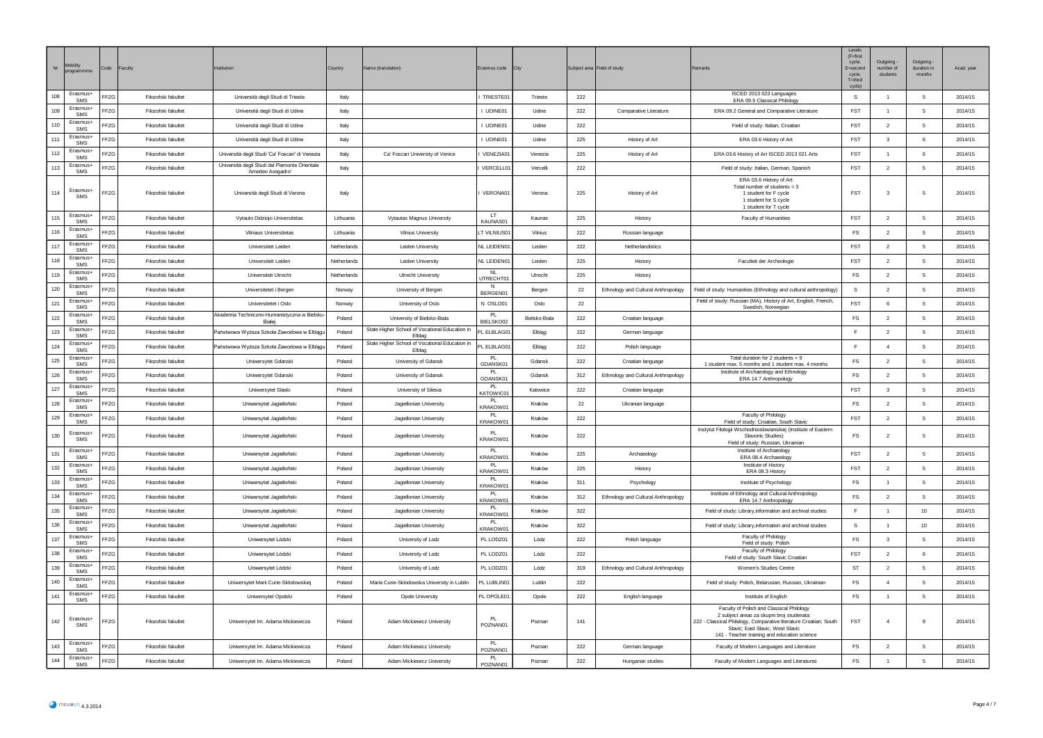| $\mathsf{Nr}$ | Mobility<br>progra     | Code | Faculty             | nstitution                                                         | Country     | lame (translation)                                       | rasmus code                | City          |     | Subject area Field of study         |                                                                                                                                                                                                                                                 | Levels<br>$(F = first)$<br>cycle.<br>S=second<br>cycle,<br>$T =$ third<br>cycle) | Outgoing<br>number of<br>students | Outgoing -<br>duration in<br>months | Acad. year |
|---------------|------------------------|------|---------------------|--------------------------------------------------------------------|-------------|----------------------------------------------------------|----------------------------|---------------|-----|-------------------------------------|-------------------------------------------------------------------------------------------------------------------------------------------------------------------------------------------------------------------------------------------------|----------------------------------------------------------------------------------|-----------------------------------|-------------------------------------|------------|
| 108           | Erasmus+<br>SMS        | FFZG | Filozofski fakultet | Università degli Studi di Trieste                                  | Italy       |                                                          | TRIESTE01                  | Trieste       | 222 |                                     | ISCED 2013 023 Languages<br>ERA 09.5 Classical Philology                                                                                                                                                                                        | s                                                                                | $\overline{1}$                    | 5                                   | 2014/15    |
| 109           | Erasmus+<br>SMS        | FFZG | Filozofski fakultet | Università degli Studi di Udine                                    | Italy       |                                                          | I UDINE01                  | Udine         | 222 | Comparative Literature              | ERA 09.2 General and Comparative Literature                                                                                                                                                                                                     | FST                                                                              | $\overline{1}$                    | 5                                   | 2014/15    |
| 110           | Erasmus+<br>SMS        | FFZG | Filozofski fakultet | Università degli Studi di Udine                                    | Italy       |                                                          | I UDINE01                  | Udine         | 222 |                                     | Field of study: Italian, Croatian                                                                                                                                                                                                               | <b>FST</b>                                                                       | $\overline{2}$                    | 5                                   | 2014/15    |
| 111           | <b>Erasmus-</b><br>SMS | FFZG | Filozofski fakultet | Università degli Studi di Udine                                    | Italy       |                                                          | I UDINE01                  | Udine         | 225 | History of Art                      | ERA 03.6 History of Art                                                                                                                                                                                                                         | <b>FST</b>                                                                       | 3                                 | 6                                   | 2014/15    |
| 112           | <b>Erasmus-</b><br>SMS | FF7C | Filozofski fakultet | Università degli Studi 'Ca' Foscari' di Venezia                    | Italy       | Ca' Foscari University of Venice                         | VENEZIA0                   | Venezia       | 225 | History of Art                      | ERA 03.6 History of Art ISCED 2013 021 Arts                                                                                                                                                                                                     | <b>FST</b>                                                                       | $\overline{1}$                    | 6                                   | 2014/15    |
| 113           | Erasmus+<br>SMS        | FFZG | Filozofski fakultet | Università degli Studi del Piemonte Orientale<br>'Amedeo Avogadro' | Italy       |                                                          | VERCELL01                  | Vercelli      | 222 |                                     | Field of study: Italian, German, Spanish                                                                                                                                                                                                        | FST                                                                              | $\overline{2}$                    | 5                                   | 2014/15    |
| 114           | Erasmus+<br>SMS        | FFZG | Filozofski fakultet | Università degli Studi di Verona                                   | Italy       |                                                          | VERONA01                   | Verona        | 225 | History of Art                      | ERA 03.6 History of Art<br>Total number of students $= 3$<br>1 student for F cycle<br>1 student for S cycle<br>1 student for T cycle                                                                                                            | FST                                                                              | $\mathbf{3}$                      | 5                                   | 2014/15    |
| 115           | Erasmus+<br>SMS        | FFZG | Filozofski fakultet | Vytauto Didzioio Universitetas                                     | Lithuania   | Vytautas Magnus University                               | $\blacksquare$<br>KAUNAS01 | Kaunas        | 225 | History                             | Faculty of Humanities                                                                                                                                                                                                                           | FST                                                                              | $\overline{2}$                    | 5                                   | 2014/15    |
| 116           | Erasmus+<br>SMS        | FFZG | Filozofski fakultet | Vilniaus Universitetas                                             | Lithuania   | Vilnius University                                       | LT VILNIUS01               | Vilnius       | 222 | Russian language                    |                                                                                                                                                                                                                                                 | <b>FS</b>                                                                        | $\overline{2}$                    | 5                                   | 2014/15    |
| 117           | <b>Erasmus-</b><br>SMS | FFZG | Filozofski fakultet | Universiteit Leiden                                                | Netherlands | Leiden University                                        | NL LEIDEN01                | Leiden        | 222 | Netherlandistics                    |                                                                                                                                                                                                                                                 | <b>FST</b>                                                                       | $\overline{2}$                    | 5                                   | 2014/15    |
| 118           | Erasmus+<br>SMS        | FFZG | Filozofski fakultet | Universiteit Leiden                                                | Netherlands | Leiden University                                        | NL LEIDENO                 | Leiden        | 225 | History                             | Faculteit der Archeologie                                                                                                                                                                                                                       | <b>FST</b>                                                                       | $\overline{2}$                    | 5                                   | 2014/15    |
| 119           | Erasmus+<br>SMS        | FFZG | Filozofski fakultet | Universiteit Utrecht                                               | Netherlands | <b>Utrecht University</b>                                | <b>JTRECHTO</b>            | Utrecht       | 225 | History                             |                                                                                                                                                                                                                                                 | <b>FS</b>                                                                        | $\overline{2}$                    | 5                                   | 2014/15    |
| 120           | <b>Erasmus-</b><br>SMS | FFZG | Filozofski fakultet | Universitetet i Berger                                             | Norway      | University of Bergen                                     | BERGEN01                   | Bergen        | 22  | Ethnology and Cultural Anthropology | Field of study: Humanities (Ethnology and cultural anthropology)                                                                                                                                                                                | s                                                                                | $\overline{2}$                    | 5                                   | 2014/15    |
| 121           | Erasmus-<br>SMS        | FF7C | Filozofski fakultet | Universitetet i Oslo                                               | Norway      | University of Oslo                                       | N OSI 001                  | Oslo          | 22  |                                     | Field of study: Russian (MA), History of Art, English, French,<br>Swedish, Norwegian                                                                                                                                                            | <b>FST</b>                                                                       | -6                                | -5                                  | 2014/15    |
| 122           | Erasmus+<br>SMS        | FFZG | Filozofski fakultet | Akademia Techniczno-Humanistyczna w Bielsku-<br>Białei             | Poland      | University of Bielsko-Biala                              | PL.<br>BIELSKO02           | Bielsko-Biala | 222 | Croatian language                   |                                                                                                                                                                                                                                                 | $\mathop{\textsf{FS}}$                                                           | $\overline{2}$                    | 5                                   | 2014/15    |
| 123           | Erasmus+<br>SMS        | FFZG | Filozofski fakultet | Państwowa Wyższa Szkoła Zawodowa w Elblągu                         | Poland      | State Higher School of Vocational Education in<br>Elblag | PL ELBLAG01                | Elbląg        | 222 | German language                     |                                                                                                                                                                                                                                                 | $\mathbb F$                                                                      | $\overline{2}$                    | 5                                   | 2014/15    |
| 124           | Erasmus+<br>SMS        | FFZG | Filozofski fakultet | Państwowa Wyższa Szkoła Zawodowa w Elblągu                         | Poland      | State Higher School of Vocational Education in<br>Elblag | PL ELBLAG01                | Elbląg        | 222 | Polish language                     |                                                                                                                                                                                                                                                 | E                                                                                | $\overline{4}$                    | 5                                   | 2014/15    |
| 125           | Erasmus+<br>SMS        | FFZG | Filozofski fakultet | Uniwersytet Gdanski                                                | Poland      | University of Gdansk                                     | PL.<br>GDANSK01            | Gdansk        | 222 | Croatian language                   | Total duration for 2 students = $9$<br>1 student max. 5 months and 1 student max. 4 months                                                                                                                                                      | $\mathsf{FS}$                                                                    | $\overline{2}$                    | 5                                   | 2014/15    |
| 126           | Erasmus+<br>SMS        | FFZG | Filozofski fakultet | Uniwersytet Gdanski                                                | Poland      | University of Gdansk                                     | PL<br>GDANSK01             | Gdansk        | 312 | Ethnology and Cultural Anthropology | Institute of Archaeology and Ethnology<br>ERA 14.7 Anthropology                                                                                                                                                                                 | <b>FS</b>                                                                        | $\overline{2}$                    | 5                                   | 2014/15    |
| 127           | Erasmus+<br>SMS        | FFZG | Filozofski fakultet | Uniwersytet Slaski                                                 | Poland      | University of Silesia                                    | PL<br>KATOWIC01            | Katowice      | 222 | Croatian language                   |                                                                                                                                                                                                                                                 | FST                                                                              | $\overline{\mathbf{3}}$           | -5                                  | 2014/15    |
| 128           | Erasmus+<br>SMS        | FFZG | Filozofski fakultet | Uniwersytet Jagielloñski                                           | Poland      | Jagiellonian University                                  | <b>PL</b><br>KRAKOW01      | Kraków        | 22  | Ukranian language                   |                                                                                                                                                                                                                                                 | <b>FS</b>                                                                        | $\overline{2}$                    | -5                                  | 2014/15    |
| 129           | <b>Erasmus-</b><br>SMS | FFZG | Filozofski fakultet | Uniwersytet Jagielloñski                                           | Poland      | Jagiellonian University                                  | <b>PL</b><br>KRAKOW01      | Kraków        | 222 |                                     | Faculty of Philology<br>Field of study: Croatian, South Slavic                                                                                                                                                                                  | FST                                                                              | $\overline{2}$                    | 5                                   | 2014/15    |
| 130           | Erasmus+<br><b>SMS</b> | FFZG | Filozofski fakultet | Uniwersytet Jagielloñski                                           | Poland      | Jagiellonian University                                  | <b>PL</b><br>KRAKOW01      | Kraków        | 222 |                                     | Instytut Filologii Wschodnioslowianskiej (Institute of Eastern<br>Slavonic Studies<br>Field of study: Russian, Ukrainian                                                                                                                        | FS                                                                               | $\overline{2}$                    | 5                                   | 2014/15    |
| 131           | <b>Erasmus-</b><br>SMS | FFZG | Filozofski fakultet | Uniwersytet Jagielloñski                                           | Poland      | Jagiellonian University                                  | <b>PL</b><br>KRAKOW01      | Kraków        | 225 | Archaeology                         | Institute of Archaeology<br>ERA 08.4 Archaeology                                                                                                                                                                                                | FST                                                                              | $\overline{2}$                    | 5                                   | 2014/15    |
| 132           | Erasmus+<br>SMS        | FFZG | Filozofski fakultet | Uniwersytet Jagielloñski                                           | Poland      | Jagiellonian University                                  | -PL<br>KRAKOW01            | Kraków        | 225 | History                             | Institute of History<br>ERA 08.3 History                                                                                                                                                                                                        | FST                                                                              | $\overline{2}$                    | 5                                   | 2014/15    |
| 133           | Erasmus+<br>SMS        | FFZG | Filozofski fakultet | Uniwersytet Jagielloñski                                           | Poland      | Jagiellonian University                                  | PL<br>KRAKOW0 <sup>*</sup> | Kraków        | 311 | Psychology                          | Institute of Psychology                                                                                                                                                                                                                         | <b>FS</b>                                                                        | $\overline{1}$                    | 5                                   | 2014/15    |
| 134           | Erasmus+<br>SMS        | FFZG | Filozofski fakultet | Uniwersytet Jagielloñski                                           | Poland      | Jagiellonian University                                  | <b>PI</b><br>KRAKOW01      | Kraków        | 312 | Ethnology and Cultural Anthropology | Institute of Ethnology and Cultural Anthropology<br>ERA 14.7 Anthropology                                                                                                                                                                       | FS                                                                               | $\overline{2}$                    | 5                                   | 2014/15    |
| 135           | Erasmus-<br>SMS        | FFZG | Filozofski fakultet | Uniwersytet Jagielloñski                                           | Poland      | Jagiellonian University                                  | <b>PL</b><br>KRAKOW01      | Kraków        | 322 |                                     | Field of study: Library, information and archival studies                                                                                                                                                                                       | E                                                                                | $\overline{1}$                    | 10                                  | 2014/15    |
| 136           | Erasmus+<br>SMS        | FFZG | Filozofski fakultet | Uniwersytet Jagielloñski                                           | Poland      | Jagiellonian University                                  | PL<br><b>KRAKOW0</b>       | Kraków        | 322 |                                     | Field of study: Library, information and archival studies                                                                                                                                                                                       | $\mathbb S$                                                                      | $\overline{1}$                    | 10                                  | 2014/15    |
| 137           | Erasmus+<br>SMS        | FFZG | Filozofski fakultet | Uniwersytet Lódzki                                                 | Poland      | University of Lodz                                       | PL LODZ01                  | Lódz          | 222 | Polish language                     | Faculty of Philology<br>Field of study: Polish                                                                                                                                                                                                  | FS                                                                               | 3                                 | -5                                  | 2014/15    |
| 138           | Erasmus+<br>SMS        | FF7C | Filozofski fakultet | Uniwersytet Lódzki                                                 | Poland      | University of Lodz                                       | PI LODZ01                  | I ódz         | 222 |                                     | Faculty of Philology<br>Field of study: South Slavic Croatian                                                                                                                                                                                   | <b>FST</b>                                                                       | $\overline{2}$                    | 6                                   | 2014/15    |
| 139           | Erasmus+<br>SMS        | FFZG | Filozofski fakultet | Uniwersytet Lódzki                                                 | Poland      | University of Lodz                                       | PL LODZ01                  | Lódz          | 319 | Ethnology and Cultural Anthropology | Women's Studies Centre                                                                                                                                                                                                                          | ST                                                                               | $\overline{2}$                    | -5                                  | 2014/15    |
| 140           | Erasmus+<br>SMS        | FFZG | Filozofski fakultet | Uniwersytet Marii Curie-Sklodowskiej                               | Poland      | Maria Curie-Sklodowska University in Lublin              | PL LUBLIN01                | Lublin        | 222 |                                     | Field of study: Polish, Belarusian, Russian, Ukrainian                                                                                                                                                                                          | FS                                                                               | $\overline{4}$                    | 5                                   | 2014/15    |
| 141           | Erasmus+<br>SMS        | FFZG | Filozofski fakultet | Uniwersytet Opolski                                                | Poland      | Opole University                                         | PL OPOLE01                 | Opole         | 222 | English language                    | Institute of English                                                                                                                                                                                                                            | FS                                                                               | $\overline{1}$                    | 5                                   | 2014/15    |
| 142           | Erasmus+<br>SMS        | FFZG | Filozofski fakultet | Uniwersytet Im. Adama Mickiewicza                                  | Poland      | Adam Mickiewicz University                               | PI<br>POZNAN01             | Poznan        | 141 |                                     | Faculty of Polish and Classical Philology<br>2 subject areas za skupni broj studenata:<br>222 - Classical Philology, Comparative literature Croatian; South<br>Slavic: East Slavic. West Slavic<br>141 - Teacher training and education science | <b>FST</b>                                                                       | $\overline{4}$                    | 9                                   | 2014/15    |
| 143           | Erasmus+<br>SMS        | FFZG | Filozofski fakultet | Uniwersytet Im. Adama Mickiewicza                                  | Poland      | Adam Mickiewicz University                               | <b>PL</b><br>POZNAN01      | Poznan        | 222 | German language                     | Faculty of Modern Languages and Literature                                                                                                                                                                                                      | $\mathop{\textsf{FS}}$                                                           | $\overline{2}$                    | $\overline{5}$                      | 2014/15    |
| 144           | Erasmus+<br>SMS        | FFZG | Filozofski fakultet | Uniwersytet Im. Adama Mickiewicza                                  | Poland      | Adam Mickiewicz University                               | PL.<br>POZNAN01            | Poznan        | 222 | Hungarian studies                   | Faculty of Modern Languages and Literatures                                                                                                                                                                                                     | $\mathop{\sf FS}\nolimits$                                                       | $\overline{1}$                    | 5                                   | 2014/15    |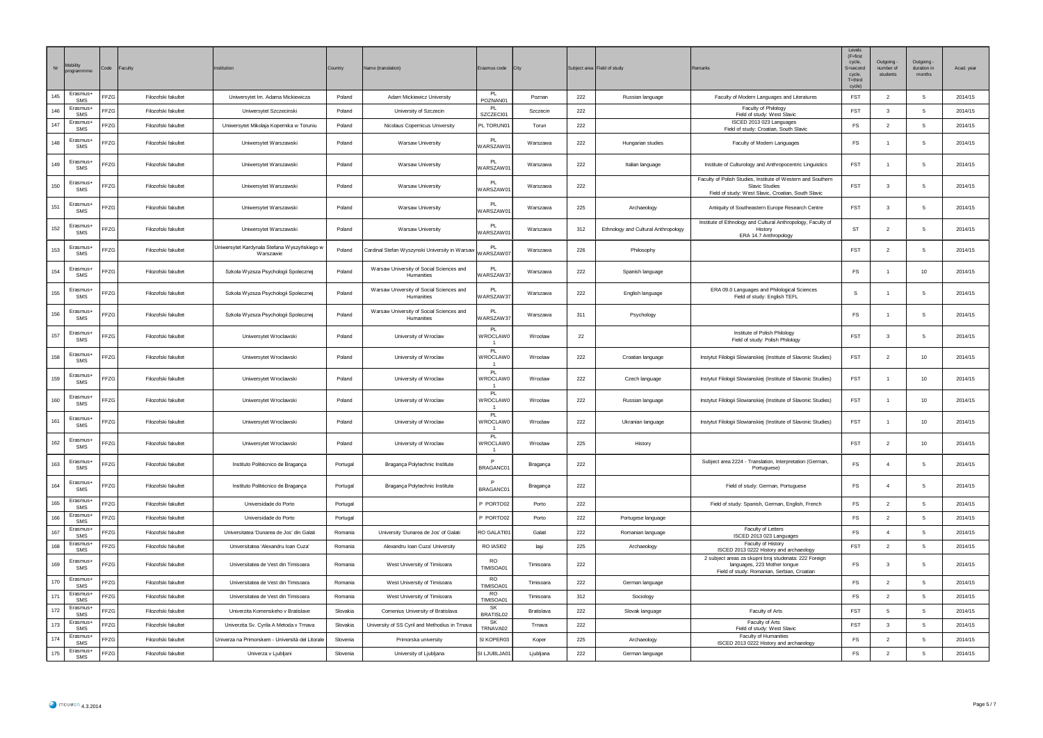| $\rm{Nr}$ | programmm                   | Code | Faculty             | nstitution                                                | Country  | Name (translation)                                     | Erasmus code                            | City       |     | Subject area Field of study         | Remarks                                                                                                                                      | Level<br>$(F = first$<br>cycle,<br>S=second<br>cycle.<br>$T =$ third<br>cycle) | Outgoing<br>number of<br>students | Outgoing<br>duration in<br>months | Acad. year |
|-----------|-----------------------------|------|---------------------|-----------------------------------------------------------|----------|--------------------------------------------------------|-----------------------------------------|------------|-----|-------------------------------------|----------------------------------------------------------------------------------------------------------------------------------------------|--------------------------------------------------------------------------------|-----------------------------------|-----------------------------------|------------|
| 145       | Erasmus+<br>SMS             | FFZG | Filozofski fakultet | Uniwersytet Im. Adama Mickiewicza                         | Poland   | Adam Mickiewicz University                             | POZNAN01                                | Poznan     | 222 | Russian language                    | Faculty of Modern Languages and Literatures                                                                                                  | <b>FST</b>                                                                     | $\overline{2}$                    | -5                                | 2014/15    |
| 146       | Erasmus-<br>SMS             | FFZG | Filozofski fakultet | Uniwersytet Szczecinski                                   | Poland   | University of Szczecin                                 | <b>PL</b><br>SZCZECI01                  | Szczecin   | 222 |                                     | Faculty of Philology<br>Field of study: West Slavic                                                                                          | <b>FST</b>                                                                     | $\mathbf{3}$                      | -5                                | 2014/15    |
| 147       | Erasmus+<br>SMS             | FFZG | Filozofski fakultet | Uniwersytet Mikolaja Kopernika w Toruniu                  | Poland   | Nicolaus Copernicus University                         | PL TORUN01                              | Torun      | 222 |                                     | ISCED 2013 023 Languages<br>Field of study: Croatian, South Slavic                                                                           | $\mathop{\mathsf{FS}}$                                                         | $\overline{2}$                    | 5                                 | 2014/15    |
| 148       | Frasmus+<br>SMS             | FFZG | Filozofski fakultet | Uniwersytet Warszawski                                    | Poland   | Warsaw University                                      | <b>PI</b><br>WARSZAW0                   | Warszawa   | 222 | Hungarian studies                   | Faculty of Modern Languages                                                                                                                  | FS                                                                             | $\overline{1}$                    | 5                                 | 2014/15    |
| 149       | Erasmus-<br>SMS             | FFZG | Filozofski fakultet | Uniwersytet Warszawski                                    | Poland   | Warsaw University                                      | PL<br>VARSZAW0                          | Warszawa   | 222 | Italian language                    | Institute of Culturology and Anthropocentric Linguistics                                                                                     | <b>FST</b>                                                                     | $\overline{1}$                    | 5                                 | 2014/15    |
| 150       | Erasmus+<br>SMS             | FFZG | Filozofski fakultet | Uniwersytet Warszawski                                    | Poland   | Warsaw University                                      | <b>PI</b><br>WARSZAW01                  | Warszawa   | 222 |                                     | Faculty of Polish Studies, Institute of Western and Southern<br><b>Slavic Studies</b><br>Field of study: West Slavic, Croatian, South Slavic | FST                                                                            | $\overline{\mathbf{3}}$           | 5                                 | 2014/15    |
| 151       | Erasmus-<br>SMS             | FFZG | Filozofski fakultet | Uniwersytet Warszawski                                    | Poland   | Warsaw University                                      | PI<br>WARSZAW01                         | Warszawa   | 225 | Archaeology                         | Antiquity of Southeastern Europe Research Centre                                                                                             | FST                                                                            | $\overline{\mathbf{3}}$           | -5                                | 2014/15    |
| 152       | Erasmus+<br>SMS             | FFZG | Filozofski fakultet | Uniwersytet Warszawski                                    | Poland   | Warsaw University                                      | <b>PL</b><br>WARSZAW01                  | Warszawa   | 312 | Ethnology and Cultural Anthropology | Institute of Ethnology and Cultural Anthropology, Faculty of<br>Histon<br>ERA 14.7 Anthropology                                              | <b>ST</b>                                                                      | $\overline{2}$                    | -5                                | 2014/15    |
| 153       | Erasmus+<br>SMS             | FFZG | Filozofski fakultet | Uniwersytet Kardynala Stefana Wyszyńskiego w<br>Warszawie | Poland   | Cardinal Stefan Wyszynski University in Warsaw         | PL.<br><b>VARSZAW0</b>                  | Warszawa   | 226 | Philosophy                          |                                                                                                                                              | FST                                                                            | $\overline{2}$                    | 5                                 | 2014/15    |
| 154       | Erasmus+<br>SMS             | FFZG | Filozofski fakultet | Szkoła Wyzsza Psychologii Spolecznej                      | Poland   | Warsaw University of Social Sciences and<br>Humanities | PI<br>VARSZAW37                         | Warszawa   | 222 | Spanish language                    |                                                                                                                                              | FS                                                                             | $\overline{1}$                    | 10 <sub>10</sub>                  | 2014/15    |
| 155       | Erasmus-<br>SMS             | FFZG | Filozofski fakultet | Szkoła Wyzsza Psychologii Spolecznej                      | Poland   | Warsaw University of Social Sciences and<br>Humanities | PI<br>VARSZAW3                          | Warszawa   | 222 | English language                    | ERA 09.0 Languages and Philological Sciences<br>Field of study: English TEFL                                                                 | s                                                                              |                                   | 5                                 | 2014/15    |
| 156       | Erasmus+<br>SMS             | FFZG | Filozofski fakultet | Szkoła Wyzsza Psychologii Spolecznej                      | Poland   | Warsaw University of Social Sciences and<br>Humanities | <b>PI</b><br>VARSZAW37                  | Warszawa   | 311 | Psychology                          |                                                                                                                                              | FS                                                                             | $\overline{1}$                    | 5                                 | 2014/15    |
| 157       | Erasmus+<br>SMS             | FFZG | Filozofski fakultet | Uniwersytet Wroclawski                                    | Poland   | University of Wroclaw                                  | PI.<br><b>NROCLAW0</b>                  | Wrocław    | 22  |                                     | Institute of Polish Philology<br>Field of study: Polish Philology                                                                            | <b>FST</b>                                                                     | $\overline{\mathbf{3}}$           | 5                                 | 2014/15    |
| 158       | Erasmus+<br>SMS             | FFZG | Filozofski fakultet | Uniwersytet Wroclawski                                    | Poland   | University of Wroclaw                                  | <b>PL</b><br><b>NROCLAWO</b>            | Wrocław    | 222 | Croatian language                   | Instytut Filologii Slowianskiej (Institute of Slavonic Studies)                                                                              | <b>FST</b>                                                                     | $\overline{2}$                    | 10                                | 2014/15    |
| 159       | Erasmus+<br>SMS             | FFZG | Filozofski fakultet | Uniwersytet Wroclawski                                    | Poland   | University of Wroclaw                                  | <b>PI</b><br>WROCLAW0<br>$\overline{1}$ | Wrocław    | 222 | Czech language                      | Instytut Filologii Slowianskiej (Institute of Slavonic Studies)                                                                              | <b>FST</b>                                                                     | $\overline{1}$                    | 10                                | 2014/15    |
| 160       | Erasmus+<br>SMS             | FFZG | Filozofski fakultet | Uniwersytet Wroclawski                                    | Poland   | University of Wroclaw                                  | PI<br>WROCLAW0                          | Wrocław    | 222 | Russian language                    | Instytut Filologii Slowianskiej (Institute of Slavonic Studies)                                                                              | <b>FST</b>                                                                     | $\overline{1}$                    | 10                                | 2014/15    |
| 161       | Erasmus-<br>SMS             | FFZG | Filozofski fakultet | Uniwersytet Wroclawski                                    | Poland   | University of Wroclaw                                  | PL<br><b>WROCLAW0</b><br>$\overline{1}$ | Wrocław    | 222 | Ukranian language                   | Instytut Filologii Slowianskiej (Institute of Slavonic Studies)                                                                              | <b>FST</b>                                                                     | $\overline{1}$                    | 10                                | 2014/15    |
| 162       | Erasmus-<br>SMS             | FFZG | Filozofski fakultet | Uniwersytet Wrocławski                                    | Poland   | University of Wroclaw                                  | <b>PL</b><br>WROCI AWO                  | Wrocław    | 225 | History                             |                                                                                                                                              | <b>FST</b>                                                                     | $\overline{2}$                    | 10 <sub>10</sub>                  | 2014/15    |
| 163       | Erasmus+<br>SMS             | FFZG | Filozofski fakultet | Instituto Politécnico de Bragança                         | Portugal | Bragança Polytechnic Institute                         | $\mathsf{P}$<br>BRAGANC01               | Bragança   | 222 |                                     | Subject area 2224 - Translation, Interpretation (German,<br>Portuguese)                                                                      | FS                                                                             | $\overline{4}$                    | 5                                 | 2014/15    |
| 164       | Erasmus-<br>SMS<br>Erasmus+ | FFZG | Filozofski fakultet | Instituto Politécnico de Bragança                         | Portugal | Bragança Polytechnic Institute                         | D<br>BRAGANC01                          | Bragança   | 222 |                                     | Field of study: German, Portuguese                                                                                                           | <b>FS</b>                                                                      | $\overline{4}$                    | -5                                | 2014/15    |
| 165       | SMS<br>Erasmus-             | FFZG | Filozofski fakultet | Universidade do Porto                                     | Portugal |                                                        | P PORTO02                               | Porto      | 222 |                                     | Field of study: Spanish, German, English, French                                                                                             | FS                                                                             | $\overline{2}$                    | 5                                 | 2014/15    |
| 166       | SMS                         | FFZG | Filozofski fakultet | Universidade do Porto                                     | Portugal |                                                        | P PORTO02                               | Porto      | 222 | Portugese language                  |                                                                                                                                              | FS                                                                             | $\overline{2}$                    | 5                                 | 2014/15    |
| 167       | Erasmus+<br>SMS             | FFZG | Filozofski fakultet | Universitatea 'Dunarea de Jos' din Galati                 | Romania  | University 'Dunarea de Jos' of Galati                  | RO GALATI01                             | Galati     | 222 | Romanian language                   | Faculty of Letters<br>ISCED 2013 023 Languages                                                                                               | FS                                                                             | $\sqrt{4}$                        | 5                                 | 2014/15    |
| 168       | Erasmus+<br>SMS             | FFZG | Filozofski fakultet | Universitatea 'Alexandru Ioan Cuza'                       | Romania  | Alexandru Ioan Cuza' University                        | RO IASI02                               | laşi       | 225 | Archaeology                         | Faculty of History<br>ISCED 2013 0222 History and archaeology                                                                                | FST                                                                            | $\overline{2}$                    | 5                                 | 2014/15    |
| 169       | Erasmus-<br>SMS             | FFZG | Filozofski fakultet | Universitatea de Vest din Timisoara                       | Romania  | West University of Timisoara                           | <b>RO</b><br>TIMISOA01<br><b>RO</b>     | Timisoara  | 222 |                                     | 2 subject areas za skupni broj studenata: 222 Foreign<br>languages, 223 Mother tongue<br>Field of study: Romanian, Serbian, Croatian         | FS                                                                             | $\overline{\mathbf{3}}$           | 5                                 | 2014/15    |
| 170       | Erasmus+<br>SMS             | FFZG | Filozofski fakultet | Universitatea de Vest din Timisoara                       | Romania  | West University of Timisoara                           | TIMISOA01                               | Timisoara  | 222 | German language                     |                                                                                                                                              | <b>FS</b>                                                                      | $\overline{2}$                    | 5                                 | 2014/15    |
| 171       | Erasmus+<br>SMS             | FFZG | Filozofski fakultet | Universitatea de Vest din Timisoara                       | Romania  | West University of Timisoara                           | RO.<br>TIMISOA01                        | Timisoara  | 312 | Sociology                           |                                                                                                                                              | FS                                                                             | $\overline{2}$                    | 5                                 | 2014/15    |
| 172       | Erasmus+<br>SMS             | FFZG | Filozofski fakultet | Univerzita Komenskeho v Bratislave                        | Slovakia | Comenius University of Bratislava                      | <b>SK</b><br>BRATISL02                  | Bratislava | 222 | Slovak language                     | Faculty of Arts                                                                                                                              | <b>FST</b>                                                                     | 5                                 | 5                                 | 2014/15    |
| 173       | Erasmus+<br><b>SMS</b>      | FFZG | Filozofski fakultet | Univerzita Sv. Cyrila A Metoda v Trnava                   | Slovakia | University of SS Cyril and Methodius in Trnava         | <b>SK</b><br>TRNAVA02                   | Trnava     | 222 |                                     | Faculty of Arts<br>Field of study: West Slavic                                                                                               | FST                                                                            | $\overline{\mathbf{3}}$           | 5                                 | 2014/15    |
| 174       | Erasmus-<br><b>SMS</b>      | FFZG | Filozofski fakultet | Univerza na Primorskem - Università del Litorale          | Slovenia | Primorska university                                   | SI KOPER03                              | Koper      | 225 | Archaeology                         | Faculty of Humanities<br>ISCED 2013 0222 History and archaeology                                                                             | <b>FS</b>                                                                      | $\overline{2}$                    | 5                                 | 2014/15    |
| 175       | Erasmus+<br>SMS             | FFZG | Filozofski fakultet | Univerza v Ljubljani                                      | Slovenia | University of Ljubljana                                | SI LJUBLJA01                            | Ljubljana  | 222 | German language                     |                                                                                                                                              | $\mathop{\textsf{FS}}$                                                         | $\overline{2}$                    | 5                                 | 2014/15    |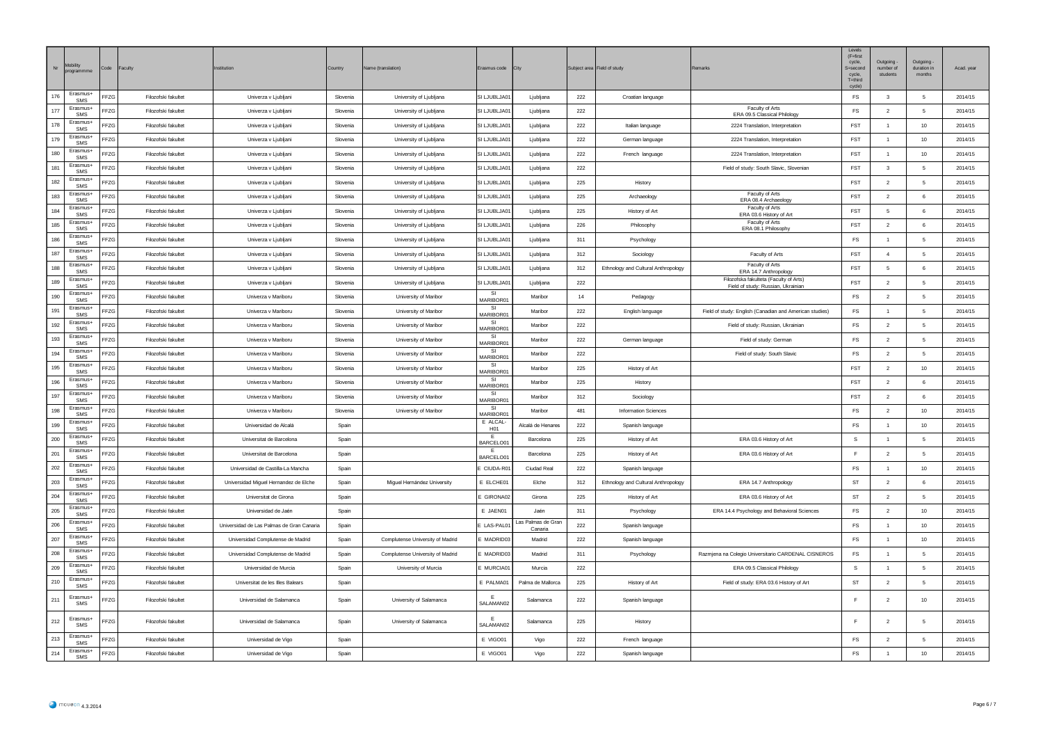| $\rm{Nr}$ | Mobility<br>orogra     | Code | Faculty             | nstitution                                | Country  | Name (translation)               | Erasmus code                             | <b>City</b>                   |     | Subject area Field of study         |                                                                              | Levels<br>$(F = first)$<br>cycle,<br>S=second<br>cycle,<br>$T =$ third<br>cycle) | Outgoing<br>number of<br>students | Outgoing<br>duration in<br>months | Acad. year |
|-----------|------------------------|------|---------------------|-------------------------------------------|----------|----------------------------------|------------------------------------------|-------------------------------|-----|-------------------------------------|------------------------------------------------------------------------------|----------------------------------------------------------------------------------|-----------------------------------|-----------------------------------|------------|
| 176       | Erasmus+<br>SMS        | FFZG | Filozofski fakultet | Univerza v Ljubljani                      | Slovenia | University of Ljubljana          | SI LJUBLJA01                             | Ljubljana                     | 222 | Croatian language                   |                                                                              | <b>FS</b>                                                                        | $\overline{\mathbf{3}}$           | - 5                               | 2014/15    |
| 177       | Erasmus-<br>SMS        | FFZG | Filozofski fakultet | Univerza v Ljubljani                      | Slovenia | University of Ljubljana          | SI LJUBLJA01                             | Liubliana                     | 222 |                                     | Faculty of Arts<br>ERA 09.5 Classical Philology                              | FS                                                                               | $\overline{2}$                    | -5                                | 2014/15    |
| 178       | Erasmus+<br>SMS        | FFZG | Filozofski fakultet | Univerza v Ljubljani                      | Slovenia | University of Ljubljana          | SI LJUBLJA01                             | Ljubljana                     | 222 | Italian language                    | 2224 Translation, Interpretation                                             | FST                                                                              | $\overline{1}$                    | 10                                | 2014/15    |
| 179       | Erasmus+<br>SMS        | FFZG | Filozofski fakultet | Univerza v Ljubljani                      | Slovenia | University of Ljubljana          | SI LJUBLJA01                             | Ljubljana                     | 222 | German language                     | 2224 Translation, Interpretation                                             | <b>FST</b>                                                                       | $\overline{1}$                    | 10                                | 2014/15    |
| 180       | Erasmus+<br><b>SMS</b> | FFZG | Filozofski fakultet | Univerza v Ljubljani                      | Slovenia | University of Ljubljana          | SI LJUBLJA01                             | Ljubljana                     | 222 | French language                     | 2224 Translation, Interpretation                                             | FST                                                                              | $\overline{1}$                    | 10                                | 2014/15    |
| 181       | Frasmus+<br>SMS        | FFZG | Filozofski fakultet | Univerza v Ljubljani                      | Slovenia | University of Ljubljana          | SI LJUBLJA01                             | Ljubljana                     | 222 |                                     | Field of study: South Slavic, Slovenian                                      | <b>FST</b>                                                                       | $\overline{\mathbf{3}}$           | 5                                 | 2014/15    |
| 182       | Erasmus+<br>SMS        | FFZG | Filozofski fakultet | Univerza v Ljubljani                      | Slovenia | University of Ljubljana          | SI LJUBLJA01                             | Ljubljana                     | 225 | History                             |                                                                              | <b>FST</b>                                                                       | $\overline{2}$                    | 5                                 | 2014/15    |
| 183       | Erasmus-<br><b>SMS</b> | FFZG | Filozofski fakultet | Univerza v Ljubljani                      | Slovenia | University of Ljubljana          | SI LJUBLJA01                             | Ljubljana                     | 225 | Archaeology                         | Faculty of Arts<br>ERA 08.4 Archaeology                                      | FST                                                                              | $\overline{2}$                    | 6                                 | 2014/15    |
| 184       | Erasmus-<br>SMS        | FFZG | Filozofski fakultet | Univerza v Ljubljani                      | Slovenia | University of Ljubljana          | SI LJUBLJA01                             | Ljubljana                     | 225 | History of Art                      | Faculty of Arts<br>ERA 03.6 History of Art                                   | <b>FST</b>                                                                       | -5                                | 6                                 | 2014/15    |
| 185       | Erasmus+<br>SMS        | FFZG | Filozofski fakultet | Univerza v Ljubljani                      | Slovenia | University of Ljubljana          | SI LJUBLJA01                             | Ljubljana                     | 226 | Philosophy                          | Faculty of Arts<br>ERA 08.1 Philosophy                                       | <b>FST</b>                                                                       | $\overline{2}$                    | 6                                 | 2014/15    |
| 186       | Erasmus+<br>SMS        | FF7G | Filozofski fakultet | Univerza v Ljubljani                      | Slovenia | University of Ljubljana          | SLLJUBLJA01                              | Ljubljana                     | 311 | Psychology                          |                                                                              | <b>FS</b>                                                                        | $\overline{1}$                    | - 5                               | 2014/15    |
| 187       | Erasmus+<br>SMS        | FFZG | Filozofski fakultet | Univerza v Ljubljani                      | Slovenia | University of Ljubljana          | SI LJUBLJA01                             | Ljubljana                     | 312 | Sociology                           | Faculty of Arts                                                              | <b>FST</b>                                                                       | $\overline{4}$                    | -5                                | 2014/15    |
| 188       | Erasmus-<br>SMS        | FFZG | Filozofski fakultet | Univerza v Ljubljani                      | Slovenia | University of Ljubljana          | SI LJUBLJA01                             | Ljubljana                     | 312 | Ethnology and Cultural Anthropology | Faculty of Arts<br>ERA 14.7 Anthropology                                     | <b>FST</b>                                                                       | -5                                | 6                                 | 2014/15    |
| 189       | Erasmus+<br>SMS        | FFZG | Filozofski fakultet | Univerza v Ljubljani                      | Slovenia | University of Ljubljana          | SI LJUBLJA01                             | Liubliana                     | 222 |                                     | Filozofska fakulteta (Faculty of Arts)<br>Field of study: Russian, Ukrainian | <b>FST</b>                                                                       | $\overline{2}$                    | 5                                 | 2014/15    |
| 190       | Erasmus+<br>SMS        | FFZG | Filozofski fakultet | Univerza v Mariboru                       | Slovenia | University of Maribor            | -SI<br>MARIBOR01                         | Maribor                       | 14  | Pedagogy                            |                                                                              | FS                                                                               | $\overline{2}$                    | 5                                 | 2014/15    |
| 191       | Erasmus+<br>SMS        | FFZG | Filozofski fakultet | Univerza v Mariboru                       | Slovenia | University of Maribor            | -SI<br>MARIBOR01                         | Maribor                       | 222 | English language                    | Field of study: English (Canadian and American studies)                      | FS                                                                               |                                   | 5                                 | 2014/15    |
| 192       | Erasmus+<br>SMS        | FFZG | Filozofski fakultet | Univerza v Mariboru                       | Slovenia | University of Maribor            | - SI<br><b>ARIBORO</b>                   | Maribor                       | 222 |                                     | Field of study: Russian, Ukrainian                                           | $\mathsf{FS}$                                                                    | $\overline{2}$                    | -5                                | 2014/15    |
| 193       | Erasmus-<br>SMS        | FFZG | Filozofski fakultet | Univerza v Mariboru                       | Slovenia | University of Maribor            | -SI<br>MARIBOR01                         | Maribor                       | 222 | German language                     | Field of study: German                                                       | $\mathsf{FS}$                                                                    | $\overline{2}$                    | $\sqrt{5}$                        | 2014/15    |
| 194       | Erasmus+<br>SMS        | FFZG | Filozofski fakultet | Univerza v Mariboru                       | Slovenia | University of Maribor            | -SI<br>ARIBOR <sub>0</sub>               | Maribor                       | 222 |                                     | Field of study: South Slavic                                                 | $\mathop{\sf FS}\nolimits$                                                       | $\overline{2}$                    | 5                                 | 2014/15    |
| 195       | Erasmus+<br>SMS        | FFZG | Filozofski fakultet | Univerza v Mariboru                       | Slovenia | University of Maribor            | SI<br>MARIBOR01                          | Maribor                       | 225 | History of Art                      |                                                                              | FST                                                                              | $\overline{2}$                    | 10                                | 2014/15    |
| 196       | Erasmus-<br>SMS        | FFZG | Filozofski fakultet | Univerza v Mariboru                       | Slovenia | University of Maribor            | -SI<br>MARIBOR <sub>0</sub> <sup>-</sup> | Maribor                       | 225 | History                             |                                                                              | <b>FST</b>                                                                       | $\overline{2}$                    | 6                                 | 2014/15    |
| 197       | Erasmus-<br>SMS        | FFZG | Filozofski fakultet | Univerza v Mariboru                       | Slovenia | University of Maribor            | SI<br>MARIBOR01                          | Maribo                        | 312 | Sociology                           |                                                                              | FST                                                                              | $\overline{2}$                    | 6                                 | 2014/15    |
| 198       | Erasmus-<br>SMS        | FFZG | Filozofski fakultet | Univerza v Mariboru                       | Slovenia | University of Maribor            | SI<br><b>MARIBOR01</b>                   | Maribor                       | 481 | <b>Information Sciences</b>         |                                                                              | FS                                                                               | $\overline{2}$                    | 10                                | 2014/15    |
| 199       | Erasmus-<br>SMS        | FFZG | Filozofski fakultet | Universidad de Alcalá                     | Spain    |                                  | E ALCAL-<br>H <sub>01</sub>              | Alcalá de Henares             | 222 | Spanish language                    |                                                                              | FS                                                                               | $\overline{1}$                    | 10                                | 2014/15    |
| 200       | Erasmus+<br>SMS        | FFZG | Filozofski fakultet | Universitat de Barcelona                  | Spain    |                                  | ARCELO01                                 | Barcelona                     | 225 | History of Art                      | ERA 03.6 History of Art                                                      | s                                                                                |                                   | 5                                 | 2014/15    |
| 201       | Erasmus+<br>SMS        | FFZG | Filozofski fakultet | Universitat de Barcelona                  | Spain    |                                  | E<br>BARCELO01                           | Barcelona                     | 225 | History of Art                      | ERA 03.6 History of Art                                                      | E                                                                                | $\overline{2}$                    | - 5                               | 2014/15    |
| 202       | Erasmus-<br>SMS        | FFZG | Filozofski fakultet | Universidad de Castilla-La Mancha         | Spain    |                                  | CIUDA-R01                                | <b>Ciudad Real</b>            | 222 | Spanish language                    |                                                                              | FS                                                                               |                                   | 10                                | 2014/15    |
| 203       | Erasmus-<br>SMS        | FFZG | Filozofski fakultet | Universidad Miguel Hernandez de Elche     | Spain    | Miguel Hernández University      | E ELCHE01                                | Elche                         | 312 | Ethnology and Cultural Anthropology | ERA 14.7 Anthropology                                                        | ST                                                                               | $\overline{2}$                    | -6                                | 2014/15    |
| 204       | Erasmus-<br>SMS        | FFZG | Filozofski fakultet | Universitat de Girona                     | Spain    |                                  | E GIRONA02                               | Girona                        | 225 | History of Art                      | ERA 03.6 History of Art                                                      | <b>ST</b>                                                                        | $\overline{2}$                    | - 5                               | 2014/15    |
| 205       | Erasmus+<br>SMS        | FFZG | Filozofski fakultet | Universidad de Jaén                       | Spain    |                                  | E JAEN01                                 | Jaén                          | 311 | Psychology                          | ERA 14.4 Psychology and Behavioral Sciences                                  | FS                                                                               | $\overline{2}$                    | 10                                | 2014/15    |
| 206       | Erasmus+<br>SMS        | FFZG | Filozofski fakultet | Universidad de Las Palmas de Gran Canaria | Spair    |                                  | LAS-PAL01                                | Las Palmas de Gran<br>Canaria | 222 | Spanish language                    |                                                                              | FS                                                                               |                                   | 10                                | 2014/15    |
| 207       | Erasmus+<br>SMS        | FFZG | Filozofski fakultet | Universidad Complutense de Madrid         | Spain    | Complutense University of Madrid | MADRID03                                 | Madrid                        | 222 | Spanish language                    |                                                                              | FS                                                                               | $\overline{1}$                    | 10                                | 2014/15    |
| 208       | Erasmus-<br>SMS        | FFZG | Filozofski fakultet | Universidad Complutense de Madrid         | Spain    | Complutense University of Madrid | MADRID03                                 | Madrid                        | 311 | Psychology                          | Razmjena na Colegio Universitario CARDENAL CISNEROS                          | FS                                                                               | $\overline{1}$                    | 5                                 | 2014/15    |
| 209       | Erasmus-<br>SMS        | FFZG | Filozofski fakultet | Universidad de Murcia                     | Spair    | University of Murcia             | MURCIA01                                 | Murcia                        | 222 |                                     | ERA 09.5 Classical Philology                                                 | s                                                                                | $\overline{1}$                    | 5                                 | 2014/15    |
| 210       | Erasmus-<br>SMS        | FFZG | Filozofski fakultet | Universitat de les Illes Balears          | Spair    |                                  | E PALMA01                                | Palma de Mallorca             | 225 | History of Art                      | Field of study: ERA 03.6 History of Art                                      | ST                                                                               | $\overline{2}$                    | 5                                 | 2014/15    |
| 211       | Erasmus+<br>SMS        | FFZG | Filozofski fakultet | Universidad de Salamanca                  | Spain    | University of Salamanca          | SALAMAN02                                | Salamanca                     | 222 | Spanish language                    |                                                                              |                                                                                  | $\overline{2}$                    | 10                                | 2014/15    |
| 212       | Frasmus+<br>SMS        | FFZG | Filozofski fakultet | Universidad de Salamanca                  | Spair    | University of Salamanca          | SALAMAN02                                | Salamanca                     | 225 | History                             |                                                                              |                                                                                  | $\overline{2}$                    | 5                                 | 2014/15    |
| 213       | Erasmus+<br>SMS        | FFZG | Filozofski fakultet | Universidad de Vigo                       | Spair    |                                  | E VIGO01                                 | Vigo                          | 222 | French language                     |                                                                              | FS                                                                               | $\overline{2}$                    | -5                                | 2014/15    |
| 214       | Erasmus+<br>SMS        | FFZG | Filozofski fakultet | Universidad de Vigo                       | Spair    |                                  | E VIGO01                                 | Vigo                          | 222 | Spanish language                    |                                                                              | $\mathop{\sf FS}\nolimits$                                                       |                                   | 10 <sup>1</sup>                   | 2014/15    |